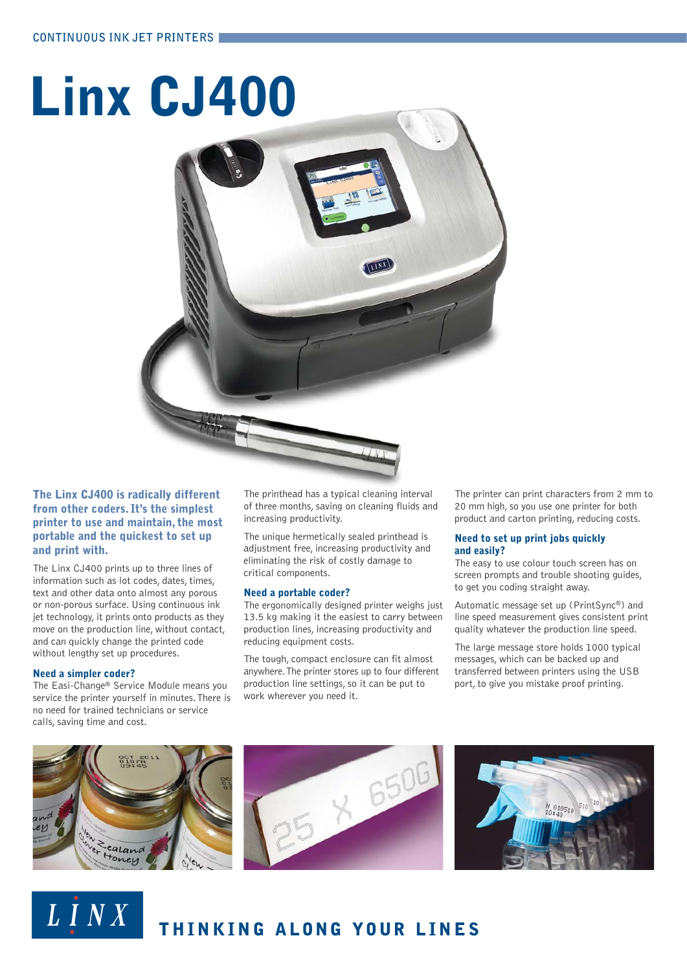# **Linx CJ400**



#### **The Linx CJ400 is radically different from other coders. It's the simplest printer to use and maintain, the most portable and the quickest to set up and print with.**

The Linx CJ400 prints up to three lines of information such as lot codes, dates, times, text and other data onto almost any porous or non-porous surface. Using continuous ink jet technology, it prints onto products as they move on the production line, without contact, and can quickly change the printed code without lengthy set up procedures.

#### **Need a simpler coder?**

LINX

The Easi-Change® Service Module means you service the printer yourself in minutes. There is no need for trained technicians or service calls, saving time and cost.

The printhead has a typical cleaning interval of three months, saving on cleaning fluids and increasing productivity.

The unique hermetically sealed printhead is adjustment free, increasing productivity and eliminating the risk of costly damage to critical components.

#### **Need a portable coder?**

The ergonomically designed printer weighs just 13.5 kg making it the easiest to carry between production lines, increasing productivity and reducing equipment costs.

The tough, compact enclosure can fit almost anywhere. The printer stores up to four different production line settings, so it can be put to work wherever you need it.

The printer can print characters from 2 mm to 20 mm high, so you use one printer for both product and carton printing, reducing costs.

#### **Need to set up print jobs quickly and easily?**

The easy to use colour touch screen has on screen prompts and trouble shooting guides, to get you coding straight away.

Automatic message set up (PrintSync®) and line speed measurement gives consistent print quality whatever the production line speed.

The large message store holds 1000 typical messages, which can be backed up and transferred between printers using the USB port, to give you mistake proof printing.